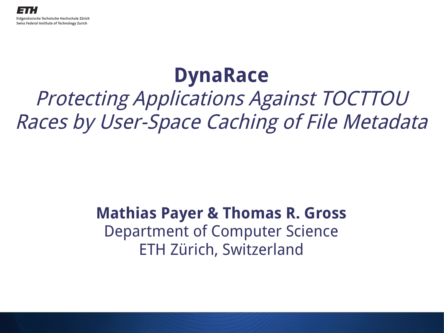### **DynaRace**

### Protecting Applications Against TOCTTOU Races by User-Space Caching of File Metadata

#### **Mathias Payer & Thomas R. Gross** Department of Computer Science ETH Zürich, Switzerland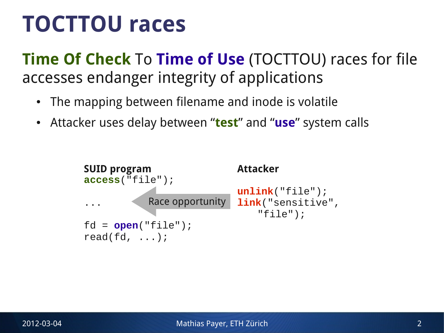### **TOCTTOU races**

**Time Of Check** To **Time of Use** (TOCTTOU) races for file accesses endanger integrity of applications

- The mapping between filename and inode is volatile
- Attacker uses delay between "**test**" and "**use**" system calls

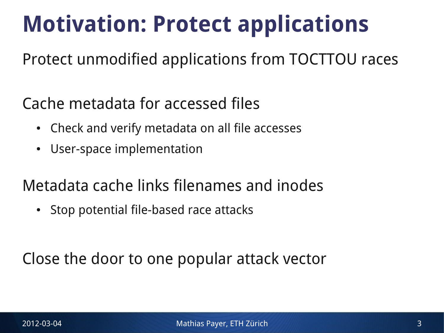### **Motivation: Protect applications**

Protect unmodified applications from TOCTTOU races

Cache metadata for accessed files

- Check and verify metadata on all file accesses
- User-space implementation

Metadata cache links filenames and inodes

• Stop potential file-based race attacks

Close the door to one popular attack vector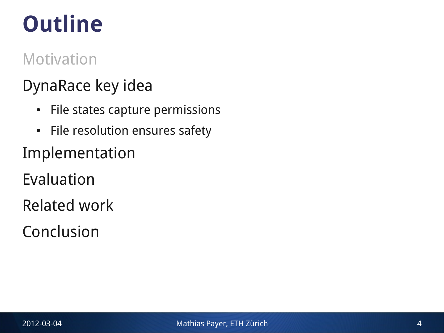# **Outline**

#### Motivation

#### DynaRace key idea

- File states capture permissions
- File resolution ensures safety
- Implementation
- Evaluation
- Related work
- Conclusion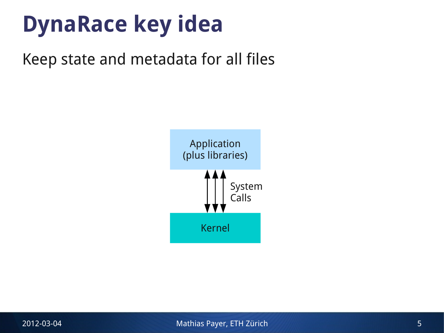### **DynaRace key idea**

#### Keep state and metadata for all files



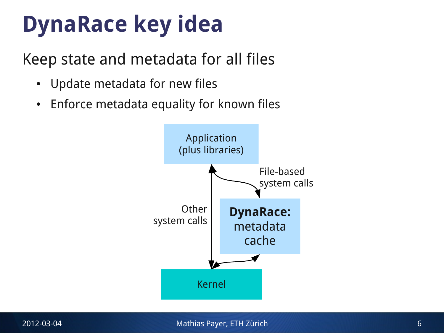# **DynaRace key idea**

Keep state and metadata for all files

- Update metadata for new files
- Enforce metadata equality for known files

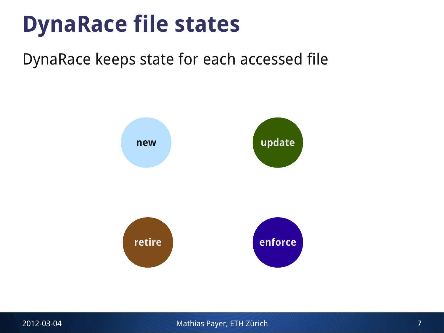### **DynaRace file states**

#### DynaRace keeps state for each accessed file



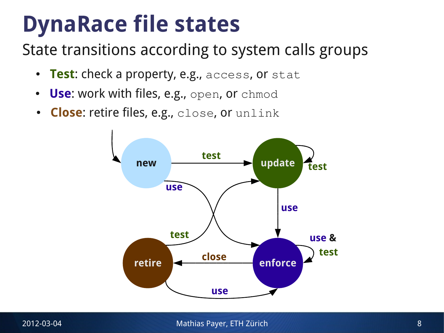### **DynaRace file states**

### State transitions according to system calls groups

- Test: check a property, e.g., access, or stat
- **Use**: work with files, e.g., open, or chmod
- **Close**: retire files, e.g., close, or unlink

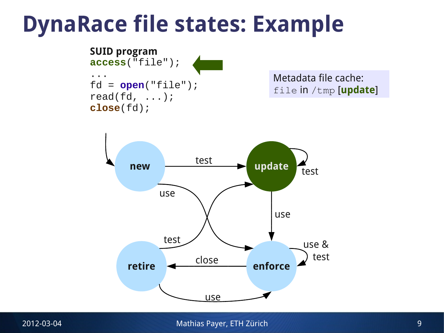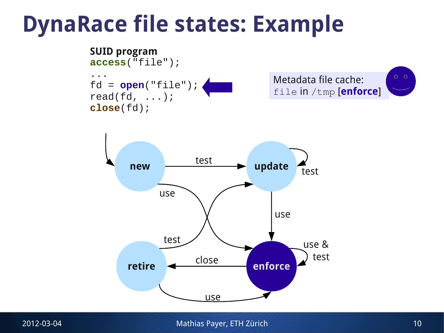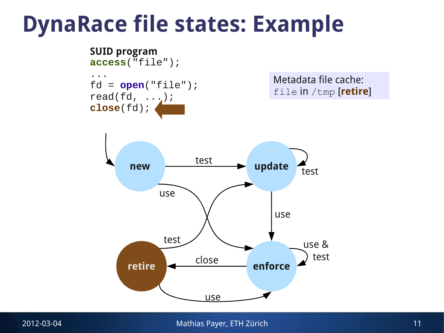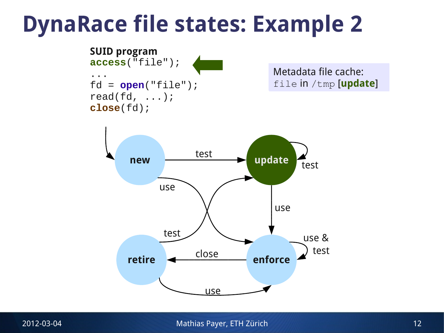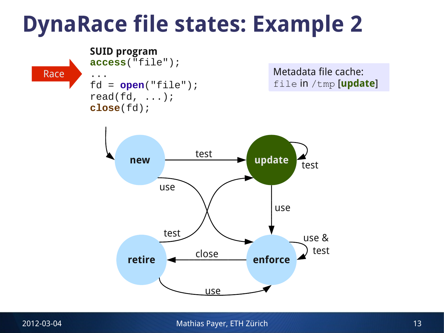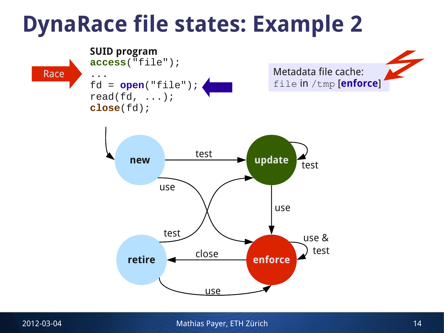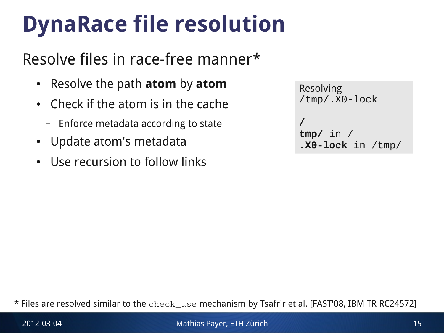# **DynaRace file resolution**

#### Resolve files in race-free manner\*

- Resolve the path **atom** by **atom**
- $\bullet$  Check if the atom is in the cache
	- Enforce metadata according to state
- Update atom's metadata
- Use recursion to follow links

```
Resolving
/tmp/.X0-lock
/
tmp/ in /
.X0-lock in /tmp/
```
\* Files are resolved similar to the check\_use mechanism by Tsafrir et al. [FAST'08, IBM TR RC24572]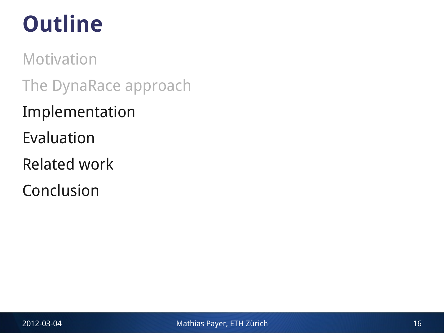# **Outline**

Motivation The DynaRace approach Implementation Evaluation Related work Conclusion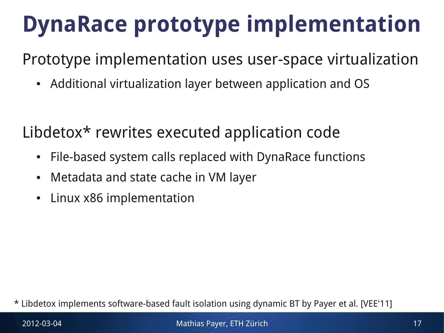# **DynaRace prototype implementation**

Prototype implementation uses user-space virtualization

• Additional virtualization layer between application and OS

Libdetox\* rewrites executed application code

- File-based system calls replaced with DynaRace functions
- Metadata and state cache in VM layer
- Linux x86 implementation

\* Libdetox implements software-based fault isolation using dynamic BT by Payer et al. [VEE'11]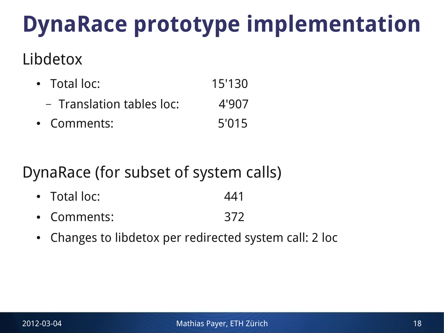# **DynaRace prototype implementation**

#### Libdetox

- Total loc: 15'130
	- Translation tables loc: 4'907
- Comments: 5'015

### DynaRace (for subset of system calls)

- Total loc: 441
- Comments: 372
- Changes to libdetox per redirected system call: 2 loc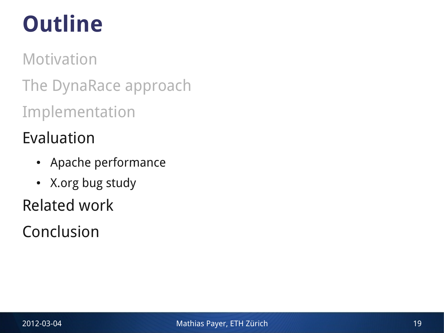# **Outline**

Motivation The DynaRace approach Implementation

Evaluation

- Apache performance
- X.org bug study

Related work

Conclusion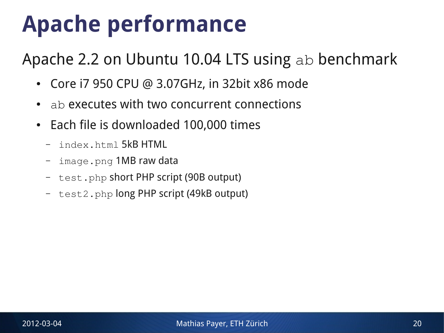#### Apache 2.2 on Ubuntu 10.04 LTS using ab benchmark

- Core i7 950 CPU @ 3.07GHz, in 32bit x86 mode
- ab executes with two concurrent connections
- Each file is downloaded 100,000 times
	- index.html 5kB HTML
	- image.png 1MB raw data
	- test.php short PHP script (90B output)
	- test2.php long PHP script (49kB output)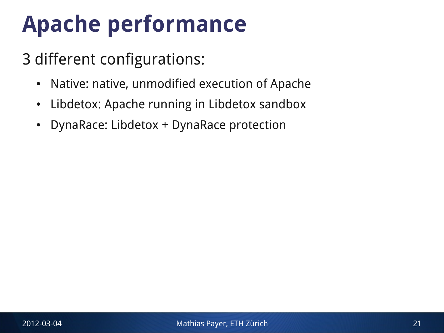### 3 different configurations:

- Native: native, unmodified execution of Apache
- Libdetox: Apache running in Libdetox sandbox
- DynaRace: Libdetox + DynaRace protection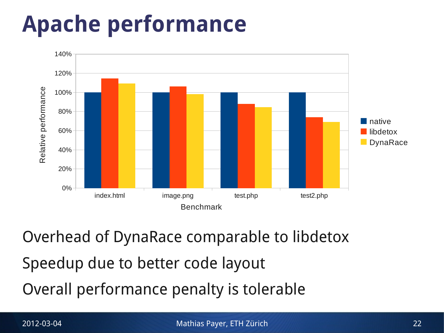

Overhead of DynaRace comparable to libdetox Speedup due to better code layout Overall performance penalty is tolerable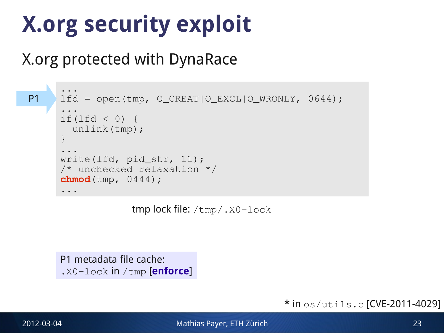### X.org protected with DynaRace

```
...
     lfd = open(tmp, O_CREAT|O_EXCL|O_WRONLY, 0644);
     ...
     if(lfd < 0) {
        unlink(tmp);
     }
     ...
     write(lfd, pid_str, 11);
     /* unchecked relaxation */
     chmod(tmp, 0444);
     ...
P1
```
tmp lock file: /tmp/.X0-lock

```
P1 metadata file cache:
.X0-lock in /tmp [enforce]
```
#### \* in os/utils.c [CVE-2011-4029]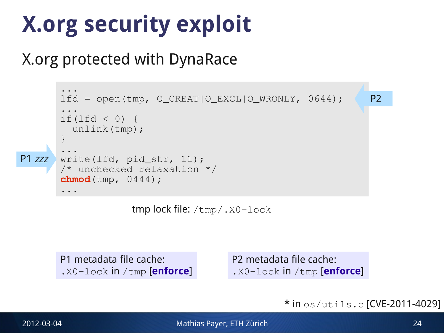#### X.org protected with DynaRace



tmp lock file: /tmp/.X0-lock

P1 metadata file cache: .X0-lock in /tmp [**enforce**] P2 metadata file cache: .X0-lock in /tmp [**enforce**]

\* in os/utils.c [CVE-2011-4029]

2012-03-04 Mathias Payer, ETH Zürich 24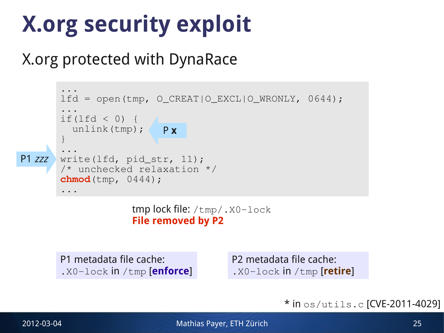#### X.org protected with DynaRace



tmp lock file: /tmp/.X0-lock **File removed by P2**

P1 metadata file cache: .X0-lock in /tmp [**enforce**] P2 metadata file cache: .X0-lock in /tmp [**retire**]

\* in os/utils.c [CVE-2011-4029]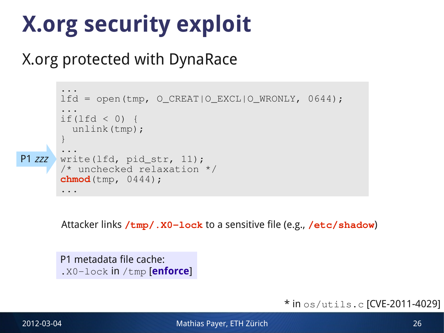#### X.org protected with DynaRace

```
...
       lfd = open(tmp, O_CREAT|O_EXCL|O_WRONLY, 0644);
       ...
       if(lfd < 0) {
         unlink(tmp);
       }
       ...
      write(lfd, pid_str, 11);
       /* unchecked relaxation */
       chmod(tmp, 0444);
       ...
P1 zzz
```
Attacker links **/tmp/.X0-lock** to a sensitive file (e.g., **/etc/shadow**)

P1 metadata file cache: .X0-lock in /tmp [**enforce**]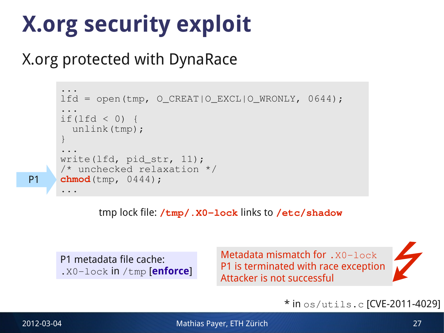#### X.org protected with DynaRace

```
...
lfd = open(tmp, OCREAT|O EXCL|OWRONLY, 0644);...
if(lfd < 0) {
  unlink(tmp);
}
...
write(lfd, pid_str, 11);
/* unchecked relaxation */
chmod(tmp, 0444);
...
```
tmp lock file: **/tmp/.X0-lock** links to **/etc/shadow**

P1 metadata file cache: .X0-lock in /tmp [**enforce**] Metadata mismatch for .X0-lock P1 is terminated with race exception Attacker is not successful



#### \* in os/utils.c [CVE-2011-4029]

P1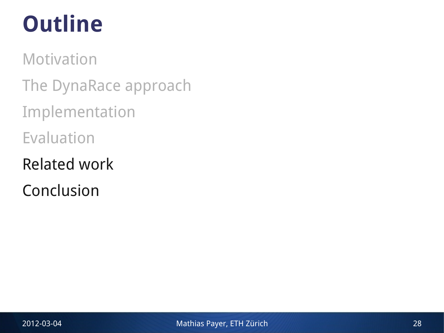# **Outline**

Motivation The DynaRace approach Implementation Evaluation Related work

Conclusion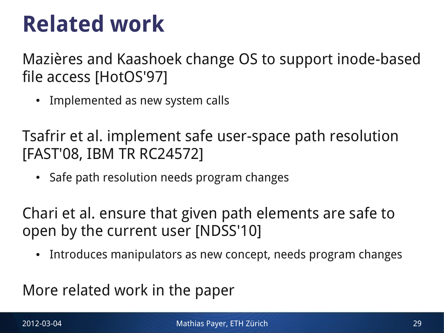### **Related work**

Mazières and Kaashoek change OS to support inode-based file access [HotOS'97]

• Implemented as new system calls

Tsafrir et al. implement safe user-space path resolution [FAST'08, IBM TR RC24572]

• Safe path resolution needs program changes

Chari et al. ensure that given path elements are safe to open by the current user [NDSS'10]

Introduces manipulators as new concept, needs program changes

More related work in the paper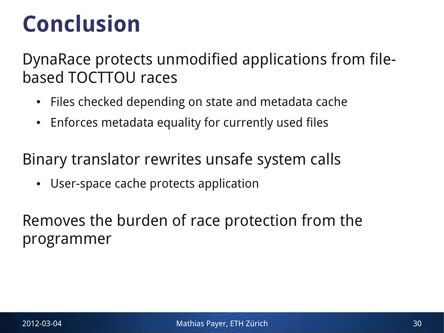### **Conclusion**

DynaRace protects unmodified applications from filebased TOCTTOU races

- Files checked depending on state and metadata cache
- Enforces metadata equality for currently used files

Binary translator rewrites unsafe system calls

• User-space cache protects application

Removes the burden of race protection from the programmer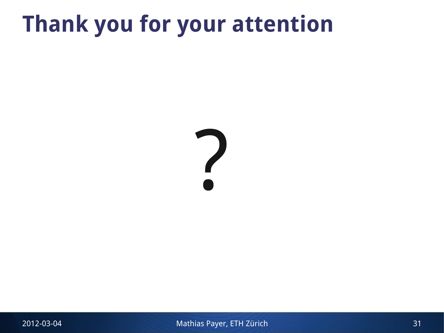### **Thank you for your attention**

?

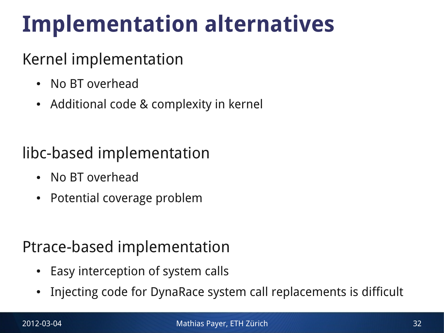# **Implementation alternatives**

#### Kernel implementation

- No BT overhead
- Additional code & complexity in kernel

### libc-based implementation

- No BT overhead
- Potential coverage problem

#### Ptrace-based implementation

- Easy interception of system calls
- Injecting code for DynaRace system call replacements is difficult